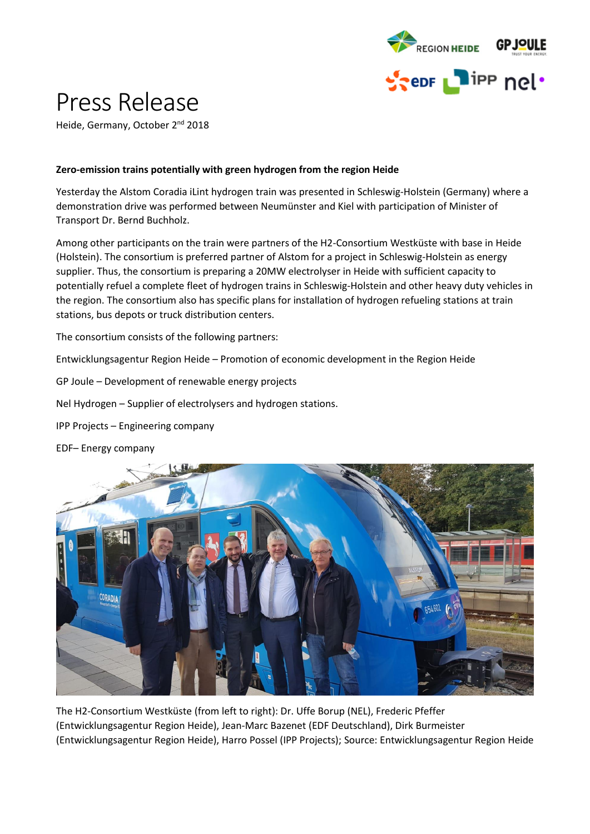

## Press Release

Heide, Germany, October 2<sup>nd</sup> 2018

## **Zero-emission trains potentially with green hydrogen from the region Heide**

Yesterday the Alstom Coradia iLint hydrogen train was presented in Schleswig-Holstein (Germany) where a demonstration drive was performed between Neumünster and Kiel with participation of Minister of Transport Dr. Bernd Buchholz.

Among other participants on the train were partners of the H2-Consortium Westküste with base in Heide (Holstein). The consortium is preferred partner of Alstom for a project in Schleswig-Holstein as energy supplier. Thus, the consortium is preparing a 20MW electrolyser in Heide with sufficient capacity to potentially refuel a complete fleet of hydrogen trains in Schleswig-Holstein and other heavy duty vehicles in the region. The consortium also has specific plans for installation of hydrogen refueling stations at train stations, bus depots or truck distribution centers.

The consortium consists of the following partners:

Entwicklungsagentur Region Heide – Promotion of economic development in the Region Heide

GP Joule – Development of renewable energy projects

Nel Hydrogen – Supplier of electrolysers and hydrogen stations.

- IPP Projects Engineering company
- EDF– Energy company



The H2-Consortium Westküste (from left to right): Dr. Uffe Borup (NEL), Frederic Pfeffer (Entwicklungsagentur Region Heide), Jean-Marc Bazenet (EDF Deutschland), Dirk Burmeister (Entwicklungsagentur Region Heide), Harro Possel (IPP Projects); Source: Entwicklungsagentur Region Heide